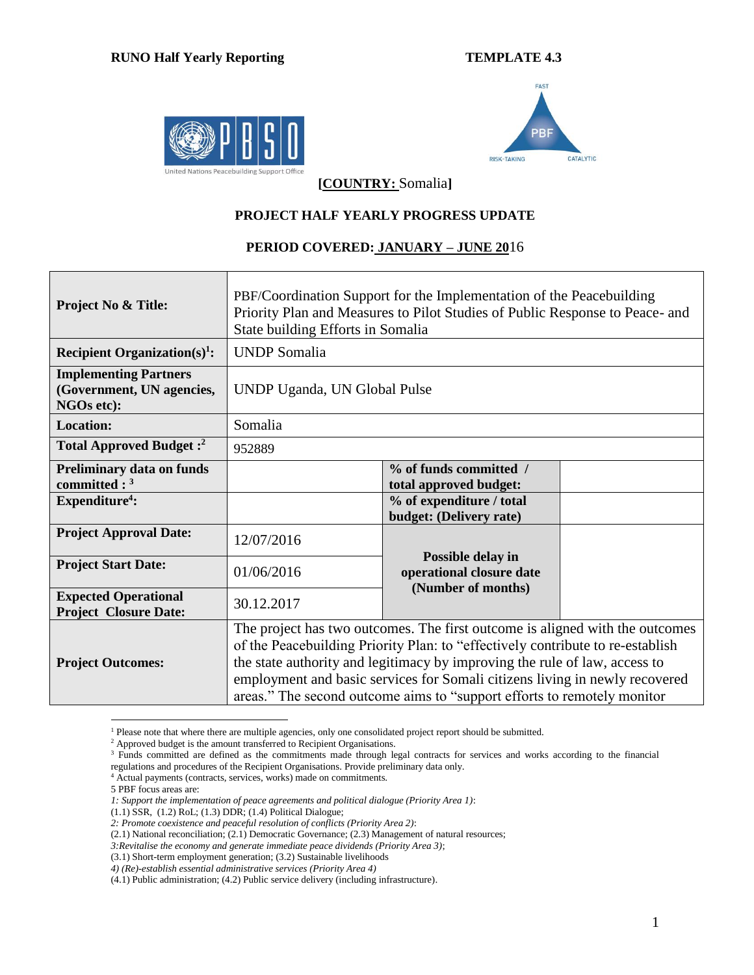



**[COUNTRY:** Somalia**]**

## **PROJECT HALF YEARLY PROGRESS UPDATE**

## **PERIOD COVERED: JANUARY – JUNE 20**16

| <b>Project No &amp; Title:</b>                                          | PBF/Coordination Support for the Implementation of the Peacebuilding<br>Priority Plan and Measures to Pilot Studies of Public Response to Peace- and<br>State building Efforts in Somalia                                                                                                                                                                                                              |                                                     |  |  |  |  |  |  |
|-------------------------------------------------------------------------|--------------------------------------------------------------------------------------------------------------------------------------------------------------------------------------------------------------------------------------------------------------------------------------------------------------------------------------------------------------------------------------------------------|-----------------------------------------------------|--|--|--|--|--|--|
| Recipient Organization(s) <sup>1</sup> :                                | <b>UNDP</b> Somalia                                                                                                                                                                                                                                                                                                                                                                                    |                                                     |  |  |  |  |  |  |
| <b>Implementing Partners</b><br>(Government, UN agencies,<br>NGOs etc): | UNDP Uganda, UN Global Pulse                                                                                                                                                                                                                                                                                                                                                                           |                                                     |  |  |  |  |  |  |
| <b>Location:</b>                                                        | Somalia                                                                                                                                                                                                                                                                                                                                                                                                |                                                     |  |  |  |  |  |  |
| Total Approved Budget: <sup>2</sup>                                     | 952889                                                                                                                                                                                                                                                                                                                                                                                                 |                                                     |  |  |  |  |  |  |
| <b>Preliminary data on funds</b><br>committed : $3$                     |                                                                                                                                                                                                                                                                                                                                                                                                        | % of funds committed /<br>total approved budget:    |  |  |  |  |  |  |
| Expenditure <sup>4</sup> :                                              |                                                                                                                                                                                                                                                                                                                                                                                                        | % of expenditure / total<br>budget: (Delivery rate) |  |  |  |  |  |  |
| <b>Project Approval Date:</b>                                           | 12/07/2016                                                                                                                                                                                                                                                                                                                                                                                             |                                                     |  |  |  |  |  |  |
| <b>Project Start Date:</b>                                              | 01/06/2016                                                                                                                                                                                                                                                                                                                                                                                             | Possible delay in<br>operational closure date       |  |  |  |  |  |  |
| <b>Expected Operational</b><br><b>Project Closure Date:</b>             | 30.12.2017                                                                                                                                                                                                                                                                                                                                                                                             | (Number of months)                                  |  |  |  |  |  |  |
| <b>Project Outcomes:</b>                                                | The project has two outcomes. The first outcome is aligned with the outcomes<br>of the Peacebuilding Priority Plan: to "effectively contribute to re-establish<br>the state authority and legitimacy by improving the rule of law, access to<br>employment and basic services for Somali citizens living in newly recovered<br>areas." The second outcome aims to "support efforts to remotely monitor |                                                     |  |  |  |  |  |  |

<sup>&</sup>lt;sup>1</sup> Please note that where there are multiple agencies, only one consolidated project report should be submitted.

5 PBF focus areas are:

 $\overline{a}$ 

<sup>&</sup>lt;sup>2</sup> Approved budget is the amount transferred to Recipient Organisations.

<sup>&</sup>lt;sup>3</sup> Funds committed are defined as the commitments made through legal contracts for services and works according to the financial regulations and procedures of the Recipient Organisations. Provide preliminary data only.

<sup>&</sup>lt;sup>4</sup> Actual payments (contracts, services, works) made on commitments.

*<sup>1:</sup> Support the implementation of peace agreements and political dialogue (Priority Area 1)*:

<sup>(1.1)</sup> SSR, (1.2) RoL; (1.3) DDR; (1.4) Political Dialogue;

*<sup>2:</sup> Promote coexistence and peaceful resolution of conflicts (Priority Area 2)*:

<sup>(2.1)</sup> National reconciliation; (2.1) Democratic Governance; (2.3) Management of natural resources;

*<sup>3:</sup>Revitalise the economy and generate immediate peace dividends (Priority Area 3)*;

<sup>(3.1)</sup> Short-term employment generation; (3.2) Sustainable livelihoods

*<sup>4)</sup> (Re)-establish essential administrative services (Priority Area 4)*

<sup>(4.1)</sup> Public administration; (4.2) Public service delivery (including infrastructure).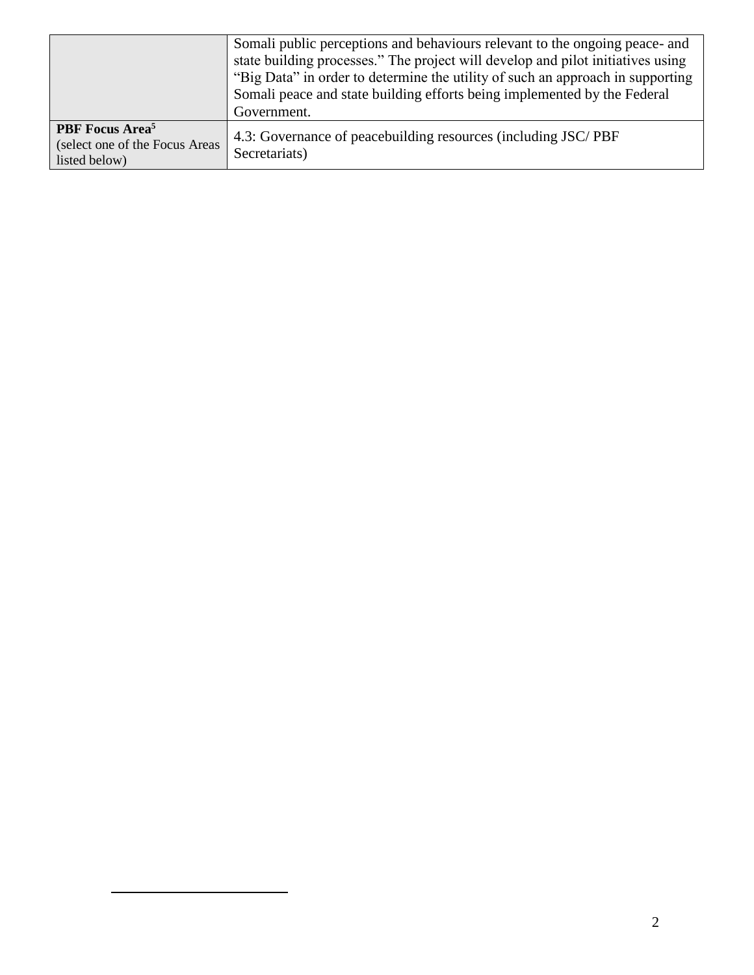|                                                                                        | Somali public perceptions and behaviours relevant to the ongoing peace- and<br>state building processes." The project will develop and pilot initiatives using<br>"Big Data" in order to determine the utility of such an approach in supporting<br>Somali peace and state building efforts being implemented by the Federal<br>Government. |
|----------------------------------------------------------------------------------------|---------------------------------------------------------------------------------------------------------------------------------------------------------------------------------------------------------------------------------------------------------------------------------------------------------------------------------------------|
| <b>PBF</b> Focus Area <sup>5</sup><br>(select one of the Focus Areas)<br>listed below) | 4.3: Governance of peacebuilding resources (including JSC/PBF<br>Secretariats)                                                                                                                                                                                                                                                              |

 $\overline{a}$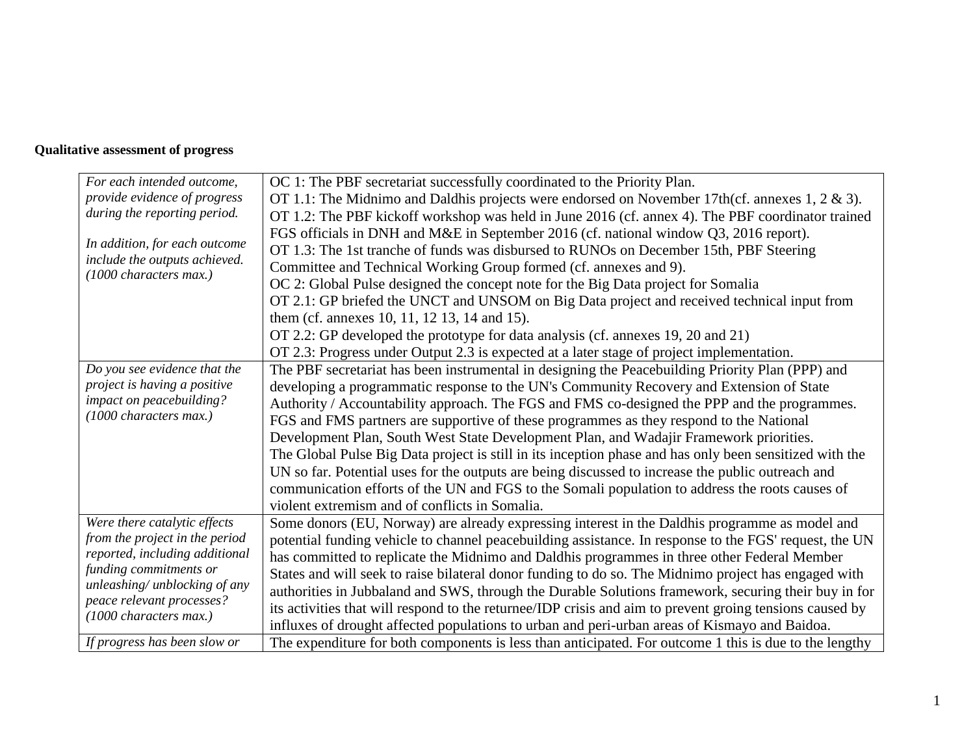## **Qualitative assessment of progress**

| For each intended outcome,                                 | OC 1: The PBF secretariat successfully coordinated to the Priority Plan.                                 |
|------------------------------------------------------------|----------------------------------------------------------------------------------------------------------|
| provide evidence of progress                               | OT 1.1: The Midnimo and Daldhis projects were endorsed on November 17th(cf. annexes $1, 2 \& 3$ ).       |
| during the reporting period.                               | OT 1.2: The PBF kickoff workshop was held in June 2016 (cf. annex 4). The PBF coordinator trained        |
|                                                            | FGS officials in DNH and M&E in September 2016 (cf. national window Q3, 2016 report).                    |
| In addition, for each outcome                              | OT 1.3: The 1st tranche of funds was disbursed to RUNOs on December 15th, PBF Steering                   |
| include the outputs achieved.                              | Committee and Technical Working Group formed (cf. annexes and 9).                                        |
| (1000 characters max.)                                     | OC 2: Global Pulse designed the concept note for the Big Data project for Somalia                        |
|                                                            | OT 2.1: GP briefed the UNCT and UNSOM on Big Data project and received technical input from              |
|                                                            | them (cf. annexes 10, 11, 12 13, 14 and 15).                                                             |
|                                                            | OT 2.2: GP developed the prototype for data analysis (cf. annexes 19, 20 and 21)                         |
|                                                            | OT 2.3: Progress under Output 2.3 is expected at a later stage of project implementation.                |
| Do you see evidence that the                               | The PBF secretariat has been instrumental in designing the Peacebuilding Priority Plan (PPP) and         |
| project is having a positive                               | developing a programmatic response to the UN's Community Recovery and Extension of State                 |
| impact on peacebuilding?                                   | Authority / Accountability approach. The FGS and FMS co-designed the PPP and the programmes.             |
| (1000 characters max.)                                     | FGS and FMS partners are supportive of these programmes as they respond to the National                  |
|                                                            | Development Plan, South West State Development Plan, and Wadajir Framework priorities.                   |
|                                                            | The Global Pulse Big Data project is still in its inception phase and has only been sensitized with the  |
|                                                            | UN so far. Potential uses for the outputs are being discussed to increase the public outreach and        |
|                                                            | communication efforts of the UN and FGS to the Somali population to address the roots causes of          |
|                                                            | violent extremism and of conflicts in Somalia.                                                           |
| Were there catalytic effects                               | Some donors (EU, Norway) are already expressing interest in the Daldhis programme as model and           |
| from the project in the period                             | potential funding vehicle to channel peacebuilding assistance. In response to the FGS' request, the UN   |
| reported, including additional                             | has committed to replicate the Midnimo and Daldhis programmes in three other Federal Member              |
| funding commitments or                                     | States and will seek to raise bilateral donor funding to do so. The Midnimo project has engaged with     |
| unleashing/ unblocking of any<br>peace relevant processes? | authorities in Jubbaland and SWS, through the Durable Solutions framework, securing their buy in for     |
| (1000 characters max.)                                     | its activities that will respond to the returnee/IDP crisis and aim to prevent groing tensions caused by |
|                                                            | influxes of drought affected populations to urban and peri-urban areas of Kismayo and Baidoa.            |
| If progress has been slow or                               | The expenditure for both components is less than anticipated. For outcome 1 this is due to the lengthy   |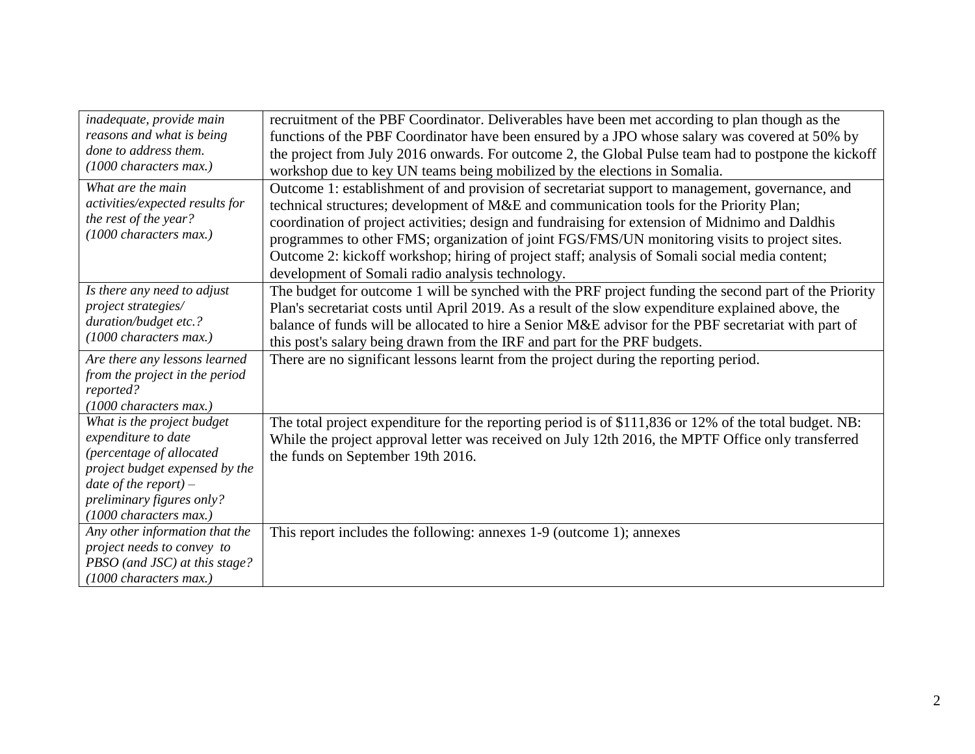| inadequate, provide main                                                                                | recruitment of the PBF Coordinator. Deliverables have been met according to plan though as the                                                                                                                                                                                                                                                                                                                                                                                                   |
|---------------------------------------------------------------------------------------------------------|--------------------------------------------------------------------------------------------------------------------------------------------------------------------------------------------------------------------------------------------------------------------------------------------------------------------------------------------------------------------------------------------------------------------------------------------------------------------------------------------------|
| reasons and what is being                                                                               | functions of the PBF Coordinator have been ensured by a JPO whose salary was covered at 50% by                                                                                                                                                                                                                                                                                                                                                                                                   |
| done to address them.                                                                                   | the project from July 2016 onwards. For outcome 2, the Global Pulse team had to postpone the kickoff                                                                                                                                                                                                                                                                                                                                                                                             |
| (1000 characters max.)                                                                                  | workshop due to key UN teams being mobilized by the elections in Somalia.                                                                                                                                                                                                                                                                                                                                                                                                                        |
| What are the main<br>activities/expected results for<br>the rest of the year?<br>(1000 characters max.) | Outcome 1: establishment of and provision of secretariat support to management, governance, and<br>technical structures; development of M&E and communication tools for the Priority Plan;<br>coordination of project activities; design and fundraising for extension of Midnimo and Daldhis<br>programmes to other FMS; organization of joint FGS/FMS/UN monitoring visits to project sites.<br>Outcome 2: kickoff workshop; hiring of project staff; analysis of Somali social media content; |
| Is there any need to adjust                                                                             | development of Somali radio analysis technology.                                                                                                                                                                                                                                                                                                                                                                                                                                                 |
| project strategies/                                                                                     | The budget for outcome 1 will be synched with the PRF project funding the second part of the Priority<br>Plan's secretariat costs until April 2019. As a result of the slow expenditure explained above, the                                                                                                                                                                                                                                                                                     |
| duration/budget etc.?                                                                                   | balance of funds will be allocated to hire a Senior M&E advisor for the PBF secretariat with part of                                                                                                                                                                                                                                                                                                                                                                                             |
| (1000 characters max.)                                                                                  | this post's salary being drawn from the IRF and part for the PRF budgets.                                                                                                                                                                                                                                                                                                                                                                                                                        |
| Are there any lessons learned                                                                           |                                                                                                                                                                                                                                                                                                                                                                                                                                                                                                  |
| from the project in the period                                                                          | There are no significant lessons learnt from the project during the reporting period.                                                                                                                                                                                                                                                                                                                                                                                                            |
| reported?                                                                                               |                                                                                                                                                                                                                                                                                                                                                                                                                                                                                                  |
| (1000 characters max.)                                                                                  |                                                                                                                                                                                                                                                                                                                                                                                                                                                                                                  |
| What is the project budget<br>expenditure to date                                                       | The total project expenditure for the reporting period is of \$111,836 or 12% of the total budget. NB:                                                                                                                                                                                                                                                                                                                                                                                           |
| (percentage of allocated                                                                                | While the project approval letter was received on July 12th 2016, the MPTF Office only transferred                                                                                                                                                                                                                                                                                                                                                                                               |
| project budget expensed by the                                                                          | the funds on September 19th 2016.                                                                                                                                                                                                                                                                                                                                                                                                                                                                |
| date of the report) $-$                                                                                 |                                                                                                                                                                                                                                                                                                                                                                                                                                                                                                  |
| preliminary figures only?                                                                               |                                                                                                                                                                                                                                                                                                                                                                                                                                                                                                  |
| (1000 characters max.)                                                                                  |                                                                                                                                                                                                                                                                                                                                                                                                                                                                                                  |
| Any other information that the                                                                          | This report includes the following: annexes 1-9 (outcome 1); annexes                                                                                                                                                                                                                                                                                                                                                                                                                             |
| project needs to convey to                                                                              |                                                                                                                                                                                                                                                                                                                                                                                                                                                                                                  |
| PBSO (and JSC) at this stage?                                                                           |                                                                                                                                                                                                                                                                                                                                                                                                                                                                                                  |
| $(1000$ characters max.)                                                                                |                                                                                                                                                                                                                                                                                                                                                                                                                                                                                                  |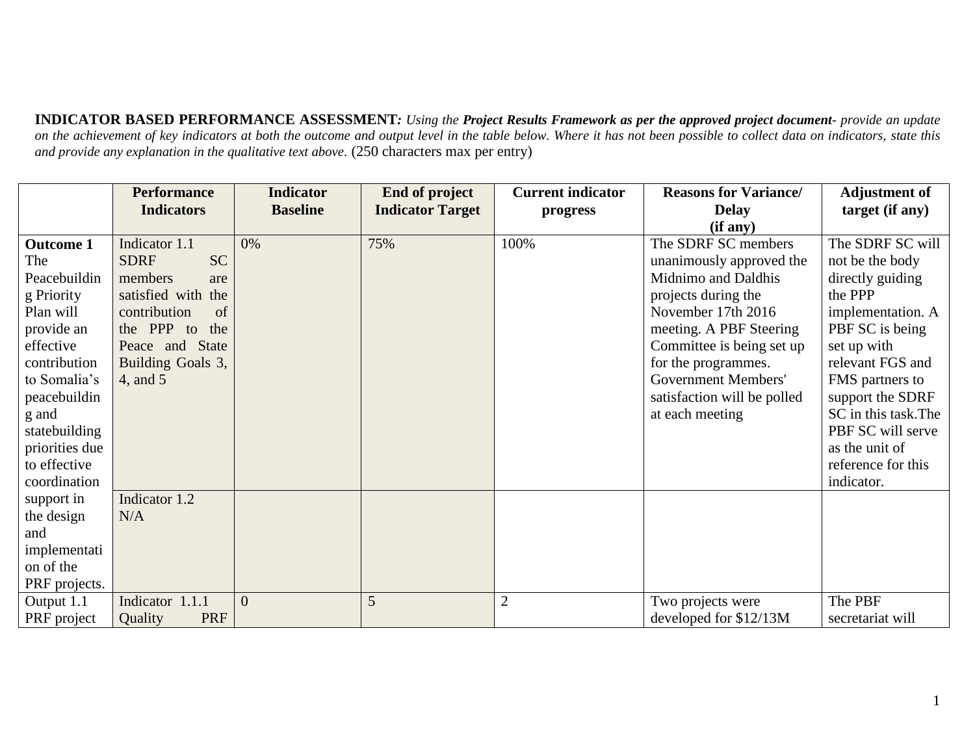**INDICATOR BASED PERFORMANCE ASSESSMENT***: Using the Project Results Framework as per the approved project document- provide an update on the achievement of key indicators at both the outcome and output level in the table below. Where it has not been possible to collect data on indicators, state this and provide any explanation in the qualitative text above.* (250 characters max per entry)

|                  | <b>Performance</b>           | <b>Indicator</b> | <b>End of project</b>   | <b>Current indicator</b> | <b>Reasons for Variance/</b> | <b>Adjustment of</b> |
|------------------|------------------------------|------------------|-------------------------|--------------------------|------------------------------|----------------------|
|                  | <b>Indicators</b>            | <b>Baseline</b>  | <b>Indicator Target</b> | progress                 | <b>Delay</b>                 | target (if any)      |
|                  |                              |                  |                         |                          | (if any)                     |                      |
| <b>Outcome 1</b> | Indicator 1.1                | 0%               | 75%                     | 100%                     | The SDRF SC members          | The SDRF SC will     |
| The              | <b>SC</b><br><b>SDRF</b>     |                  |                         |                          | unanimously approved the     | not be the body      |
| Peacebuildin     | members<br>are               |                  |                         |                          | Midnimo and Daldhis          | directly guiding     |
| g Priority       | satisfied with the           |                  |                         |                          | projects during the          | the PPP              |
| Plan will        | contribution<br>of           |                  |                         |                          | November 17th 2016           | implementation. A    |
| provide an       | the PPP to<br>the            |                  |                         |                          | meeting. A PBF Steering      | PBF SC is being      |
| effective        | <b>State</b><br>Peace and    |                  |                         |                          | Committee is being set up    | set up with          |
| contribution     | Building Goals 3,            |                  |                         |                          | for the programmes.          | relevant FGS and     |
| to Somalia's     | 4, and 5                     |                  |                         |                          | Government Members'          | FMS partners to      |
| peacebuildin     |                              |                  |                         |                          | satisfaction will be polled  | support the SDRF     |
| g and            |                              |                  |                         |                          | at each meeting              | SC in this task. The |
| statebuilding    |                              |                  |                         |                          |                              | PBF SC will serve    |
| priorities due   |                              |                  |                         |                          |                              | as the unit of       |
| to effective     |                              |                  |                         |                          |                              | reference for this   |
| coordination     |                              |                  |                         |                          |                              | indicator.           |
| support in       | Indicator 1.2                |                  |                         |                          |                              |                      |
| the design       | N/A                          |                  |                         |                          |                              |                      |
| and              |                              |                  |                         |                          |                              |                      |
| implementati     |                              |                  |                         |                          |                              |                      |
| on of the        |                              |                  |                         |                          |                              |                      |
| PRF projects.    |                              |                  |                         |                          |                              |                      |
| Output 1.1       | Indicator 1.1.1              | $\overline{0}$   | 5                       | $\overline{2}$           | Two projects were            | The PBF              |
| PRF project      | <b>PRF</b><br><b>Quality</b> |                  |                         |                          | developed for \$12/13M       | secretariat will     |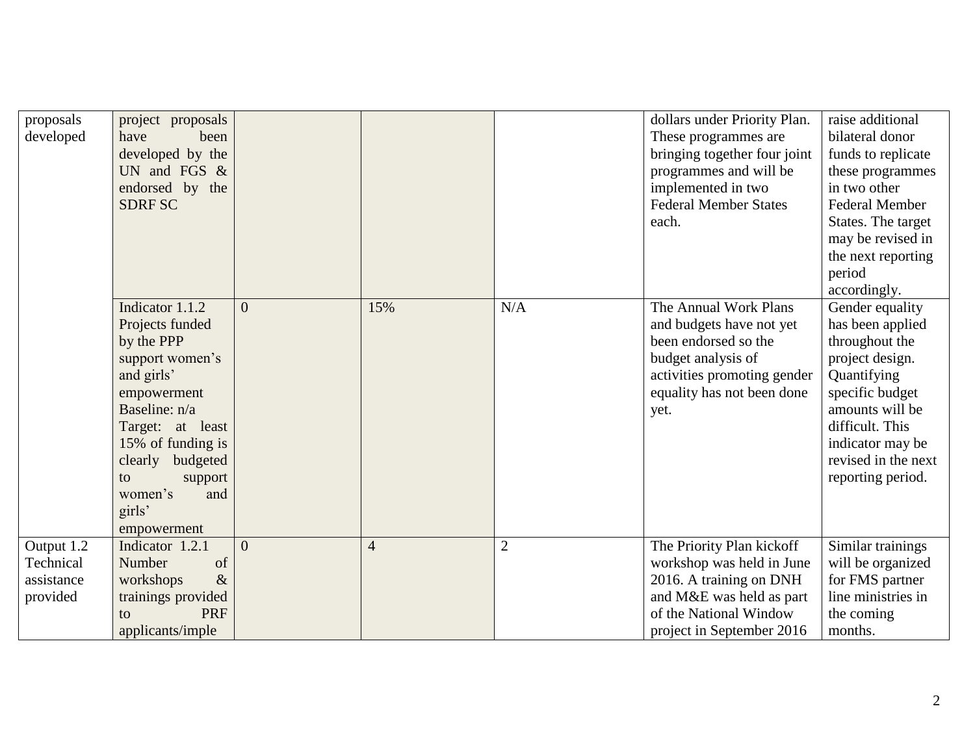| proposals<br>developed                            | project proposals<br>have<br>been<br>developed by the<br>UN and FGS $&$<br>endorsed by the<br><b>SDRF SC</b>                                                                                                                               |                |                |                | dollars under Priority Plan.<br>These programmes are<br>bringing together four joint<br>programmes and will be<br>implemented in two<br><b>Federal Member States</b><br>each. | raise additional<br>bilateral donor<br>funds to replicate<br>these programmes<br>in two other<br><b>Federal Member</b><br>States. The target<br>may be revised in<br>the next reporting<br>period<br>accordingly. |
|---------------------------------------------------|--------------------------------------------------------------------------------------------------------------------------------------------------------------------------------------------------------------------------------------------|----------------|----------------|----------------|-------------------------------------------------------------------------------------------------------------------------------------------------------------------------------|-------------------------------------------------------------------------------------------------------------------------------------------------------------------------------------------------------------------|
|                                                   | Indicator 1.1.2<br>Projects funded<br>by the PPP<br>support women's<br>and girls'<br>empowerment<br>Baseline: n/a<br>Target: at least<br>15% of funding is<br>clearly budgeted<br>support<br>to<br>women's<br>and<br>girls'<br>empowerment | $\overline{0}$ | 15%            | N/A            | The Annual Work Plans<br>and budgets have not yet<br>been endorsed so the<br>budget analysis of<br>activities promoting gender<br>equality has not been done<br>yet.          | Gender equality<br>has been applied<br>throughout the<br>project design.<br>Quantifying<br>specific budget<br>amounts will be<br>difficult. This<br>indicator may be<br>revised in the next<br>reporting period.  |
| Output 1.2<br>Technical<br>assistance<br>provided | Indicator 1.2.1<br>Number<br>of<br>workshops<br>$\&$<br>trainings provided<br><b>PRF</b><br>to<br>applicants/imple                                                                                                                         | $\overline{0}$ | $\overline{4}$ | $\overline{2}$ | The Priority Plan kickoff<br>workshop was held in June<br>2016. A training on DNH<br>and M&E was held as part<br>of the National Window<br>project in September 2016          | Similar trainings<br>will be organized<br>for FMS partner<br>line ministries in<br>the coming<br>months.                                                                                                          |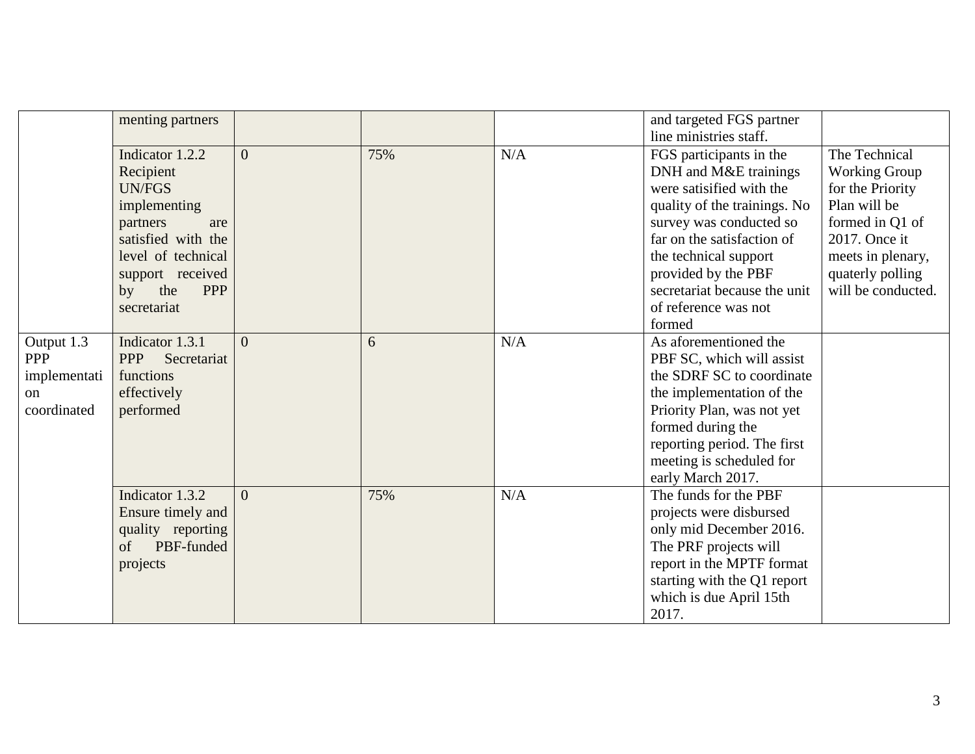|                                                                          | menting partners                                                                                                                                                                           |                |     |     | and targeted FGS partner<br>line ministries staff.                                                                                                                                                                                                                                      |                                                                                                                                                                              |
|--------------------------------------------------------------------------|--------------------------------------------------------------------------------------------------------------------------------------------------------------------------------------------|----------------|-----|-----|-----------------------------------------------------------------------------------------------------------------------------------------------------------------------------------------------------------------------------------------------------------------------------------------|------------------------------------------------------------------------------------------------------------------------------------------------------------------------------|
|                                                                          | Indicator 1.2.2<br>Recipient<br><b>UN/FGS</b><br>implementing<br>partners<br>are<br>satisfied with the<br>level of technical<br>support received<br>the<br><b>PPP</b><br>by<br>secretariat | $\overline{0}$ | 75% | N/A | FGS participants in the<br>DNH and M&E trainings<br>were satisified with the<br>quality of the trainings. No<br>survey was conducted so<br>far on the satisfaction of<br>the technical support<br>provided by the PBF<br>secretariat because the unit<br>of reference was not<br>formed | The Technical<br><b>Working Group</b><br>for the Priority<br>Plan will be<br>formed in Q1 of<br>2017. Once it<br>meets in plenary,<br>quaterly polling<br>will be conducted. |
| Output 1.3<br><b>PPP</b><br>implementati<br><sub>on</sub><br>coordinated | Indicator 1.3.1<br>Secretariat<br><b>PPP</b><br>functions<br>effectively<br>performed                                                                                                      | $\overline{0}$ | 6   | N/A | As aforementioned the<br>PBF SC, which will assist<br>the SDRF SC to coordinate<br>the implementation of the<br>Priority Plan, was not yet<br>formed during the<br>reporting period. The first<br>meeting is scheduled for<br>early March 2017.                                         |                                                                                                                                                                              |
|                                                                          | Indicator 1.3.2<br>Ensure timely and<br>quality reporting<br>PBF-funded<br>of<br>projects                                                                                                  | $\overline{0}$ | 75% | N/A | The funds for the PBF<br>projects were disbursed<br>only mid December 2016.<br>The PRF projects will<br>report in the MPTF format<br>starting with the Q1 report<br>which is due April 15th<br>2017.                                                                                    |                                                                                                                                                                              |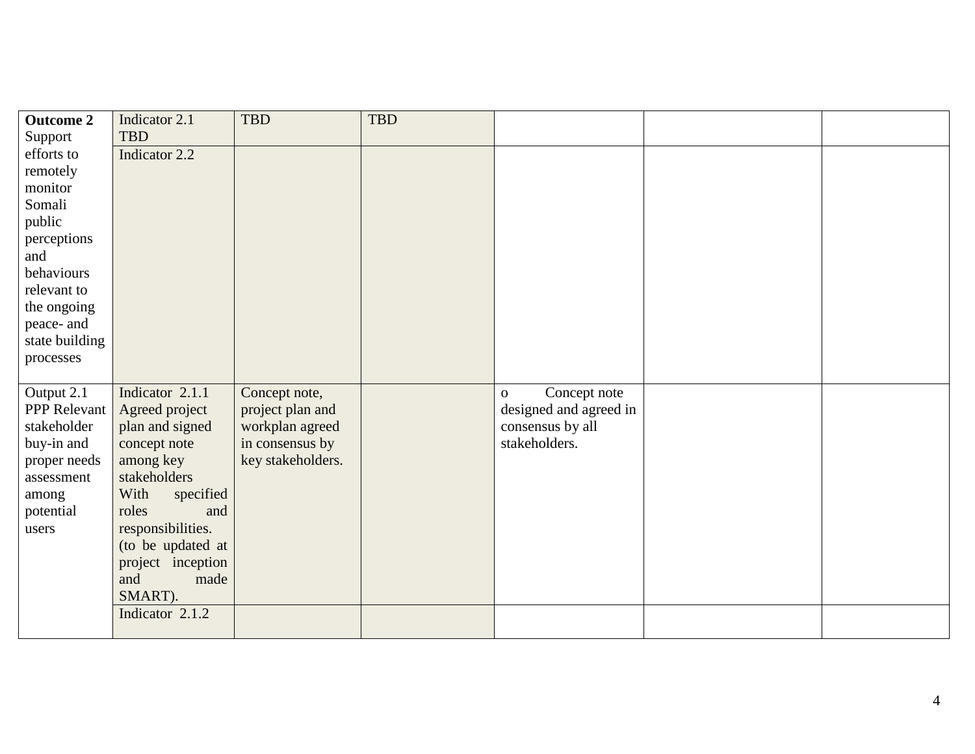| <b>Outcome 2</b>    | Indicator 2.1     | <b>TBD</b>        | <b>TBD</b> |                              |  |
|---------------------|-------------------|-------------------|------------|------------------------------|--|
| Support             | <b>TBD</b>        |                   |            |                              |  |
| efforts to          | Indicator 2.2     |                   |            |                              |  |
| remotely            |                   |                   |            |                              |  |
| monitor             |                   |                   |            |                              |  |
| Somali              |                   |                   |            |                              |  |
| public              |                   |                   |            |                              |  |
| perceptions         |                   |                   |            |                              |  |
| and                 |                   |                   |            |                              |  |
| behaviours          |                   |                   |            |                              |  |
| relevant to         |                   |                   |            |                              |  |
| the ongoing         |                   |                   |            |                              |  |
| peace- and          |                   |                   |            |                              |  |
| state building      |                   |                   |            |                              |  |
| processes           |                   |                   |            |                              |  |
|                     |                   |                   |            |                              |  |
| Output 2.1          | Indicator 2.1.1   | Concept note,     |            | Concept note<br>$\mathbf{O}$ |  |
| <b>PPP</b> Relevant | Agreed project    | project plan and  |            | designed and agreed in       |  |
| stakeholder         | plan and signed   | workplan agreed   |            | consensus by all             |  |
| buy-in and          | concept note      | in consensus by   |            | stakeholders.                |  |
| proper needs        | among key         | key stakeholders. |            |                              |  |
| assessment          | stakeholders      |                   |            |                              |  |
| among               | With<br>specified |                   |            |                              |  |
| potential           | roles<br>and      |                   |            |                              |  |
| users               | responsibilities. |                   |            |                              |  |
|                     | (to be updated at |                   |            |                              |  |
|                     | project inception |                   |            |                              |  |
|                     | and<br>made       |                   |            |                              |  |
|                     | SMART).           |                   |            |                              |  |
|                     | Indicator 2.1.2   |                   |            |                              |  |
|                     |                   |                   |            |                              |  |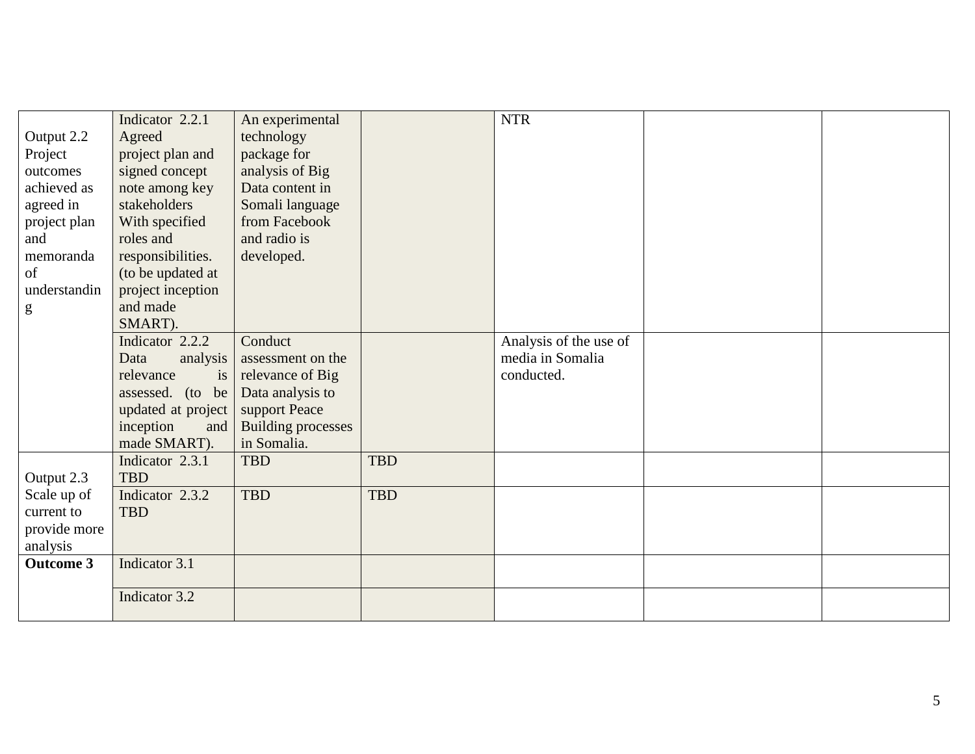|                  | Indicator 2.2.1    | An experimental           |            | <b>NTR</b>             |  |
|------------------|--------------------|---------------------------|------------|------------------------|--|
| Output 2.2       | Agreed             | technology                |            |                        |  |
| Project          | project plan and   | package for               |            |                        |  |
| outcomes         | signed concept     | analysis of Big           |            |                        |  |
| achieved as      | note among key     | Data content in           |            |                        |  |
| agreed in        | stakeholders       | Somali language           |            |                        |  |
| project plan     | With specified     | from Facebook             |            |                        |  |
| and              | roles and          | and radio is              |            |                        |  |
| memoranda        | responsibilities.  | developed.                |            |                        |  |
| of               | (to be updated at  |                           |            |                        |  |
| understandin     | project inception  |                           |            |                        |  |
| g                | and made           |                           |            |                        |  |
|                  | SMART).            |                           |            |                        |  |
|                  | Indicator 2.2.2    | Conduct                   |            | Analysis of the use of |  |
|                  | Data<br>analysis   | assessment on the         |            | media in Somalia       |  |
|                  | relevance<br>is    | relevance of Big          |            | conducted.             |  |
|                  | assessed. (to be   | Data analysis to          |            |                        |  |
|                  | updated at project | support Peace             |            |                        |  |
|                  | inception<br>and   | <b>Building processes</b> |            |                        |  |
|                  | made SMART).       | in Somalia.               |            |                        |  |
|                  | Indicator 2.3.1    | <b>TBD</b>                | <b>TBD</b> |                        |  |
| Output 2.3       | <b>TBD</b>         |                           |            |                        |  |
| Scale up of      | Indicator 2.3.2    | <b>TBD</b>                | <b>TBD</b> |                        |  |
| current to       | <b>TBD</b>         |                           |            |                        |  |
| provide more     |                    |                           |            |                        |  |
| analysis         |                    |                           |            |                        |  |
| <b>Outcome 3</b> | Indicator 3.1      |                           |            |                        |  |
|                  | Indicator 3.2      |                           |            |                        |  |
|                  |                    |                           |            |                        |  |